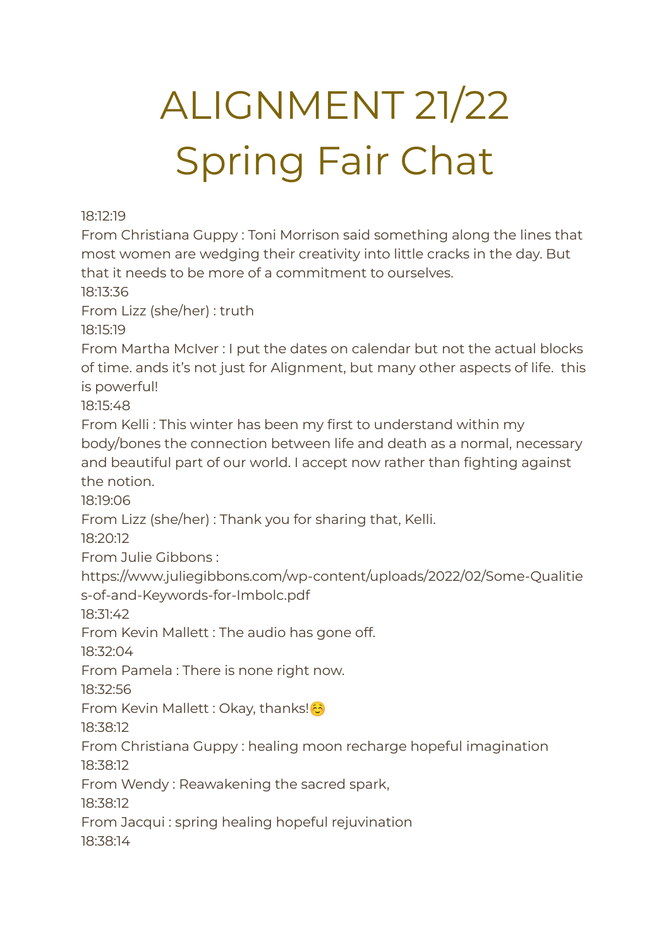## ALIGNMENT 21/22 Spring Fair Chat

18:12:19

From Christiana Guppy : Toni Morrison said something along the lines that most women are wedging their creativity into little cracks in the day. But that it needs to be more of a commitment to ourselves.

18:13:36

From Lizz (she/her) : truth

18:15:19

From Martha McIver : I put the dates on calendar but not the actual blocks of time. ands it's not just for Alignment, but many other aspects of life. this is powerful!

18:15:48

From Kelli : This winter has been my first to understand within my body/bones the connection between life and death as a normal, necessary and beautiful part of our world. I accept now rather than fighting against the notion.

18:19:06

From Lizz (she/her) : Thank you for sharing that, Kelli.

18:20:12

From Julie Gibbons :

https://www.juliegibbons.com/wp-content/uploads/2022/02/Some-Qualitie s-of-and-Keywords-for-Imbolc.pdf

18:31:42

From Kevin Mallett : The audio has gone off.

18:32:04

From Pamela : There is none right now.

18:32:56

From Kevin Mallett : Okay, thanks! <mark>۞</mark>

18:38:12

From Christiana Guppy : healing moon recharge hopeful imagination 18:38:12

From Wendy : Reawakening the sacred spark,

18:38:12

From Jacqui : spring healing hopeful rejuvination

18:38:14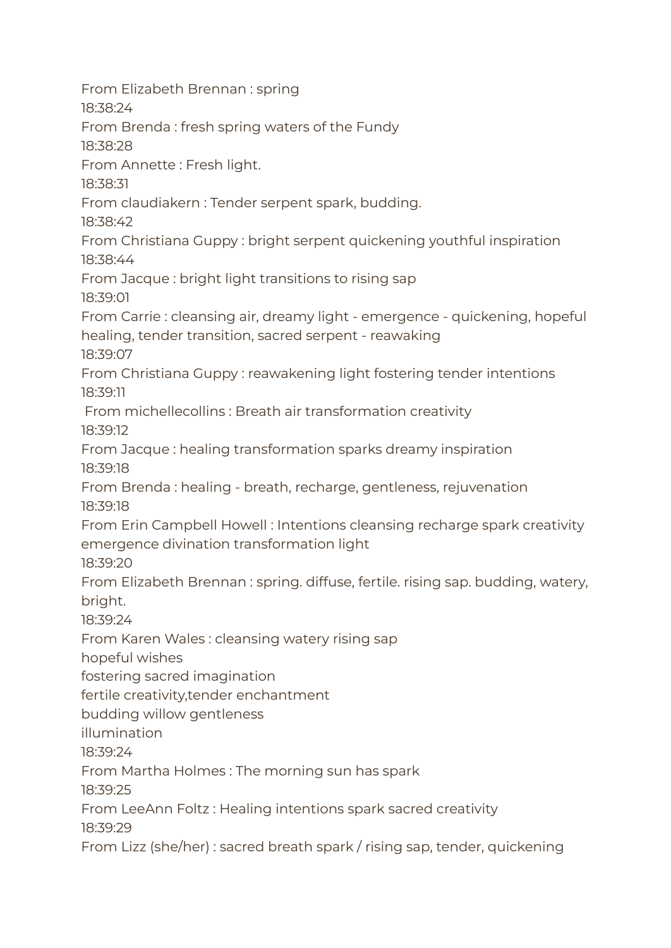From Elizabeth Brennan : spring 18:38:24 From Brenda : fresh spring waters of the Fundy 18:38:28 From Annette : Fresh light. 18:38:31 From claudiakern : Tender serpent spark, budding. 18:38:42 From Christiana Guppy : bright serpent quickening youthful inspiration 18:38:44 From Jacque : bright light transitions to rising sap 18:39:01 From Carrie : cleansing air, dreamy light - emergence - quickening, hopeful healing, tender transition, sacred serpent - reawaking 18:39:07 From Christiana Guppy : reawakening light fostering tender intentions 18:39:11 From michellecollins : Breath air transformation creativity 18:39:12 From Jacque : healing transformation sparks dreamy inspiration 18:39:18 From Brenda : healing - breath, recharge, gentleness, rejuvenation 18:39:18 From Erin Campbell Howell : Intentions cleansing recharge spark creativity emergence divination transformation light 18:39:20 From Elizabeth Brennan : spring. diffuse, fertile. rising sap. budding, watery, bright. 18:39:24 From Karen Wales : cleansing watery rising sap hopeful wishes fostering sacred imagination fertile creativity,tender enchantment budding willow gentleness illumination 18:39:24 From Martha Holmes : The morning sun has spark 18:39:25 From LeeAnn Foltz : Healing intentions spark sacred creativity 18:39:29 From Lizz (she/her) : sacred breath spark / rising sap, tender, quickening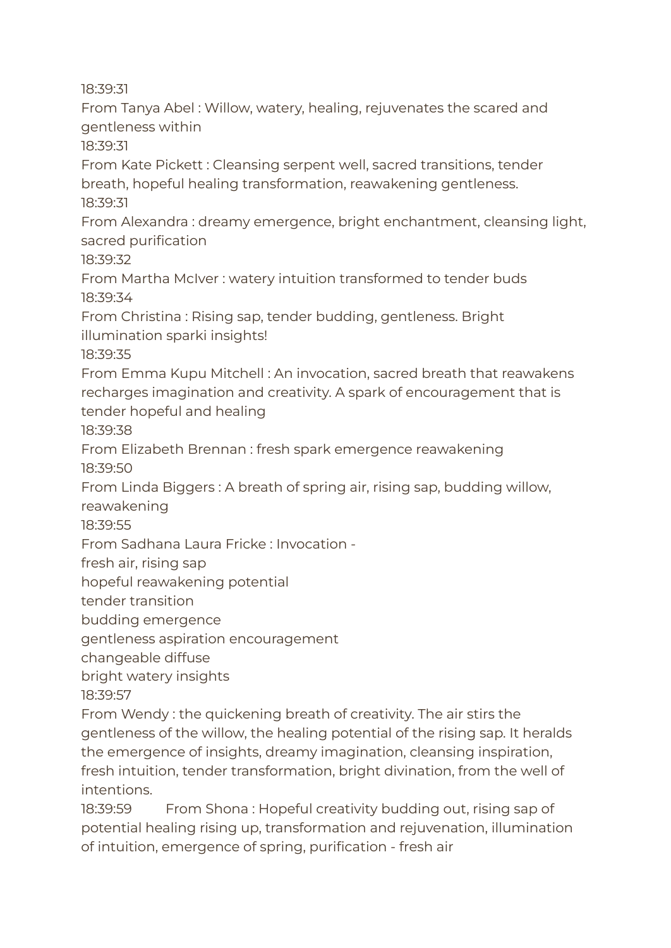18:39:31

From Tanya Abel : Willow, watery, healing, rejuvenates the scared and gentleness within

18:39:31

From Kate Pickett : Cleansing serpent well, sacred transitions, tender breath, hopeful healing transformation, reawakening gentleness. 18:39:31

From Alexandra : dreamy emergence, bright enchantment, cleansing light, sacred purification

18:39:32

From Martha McIver : watery intuition transformed to tender buds 18:39:34

From Christina : Rising sap, tender budding, gentleness. Bright illumination sparki insights!

18:39:35

From Emma Kupu Mitchell : An invocation, sacred breath that reawakens recharges imagination and creativity. A spark of encouragement that is tender hopeful and healing

18:39:38

From Elizabeth Brennan : fresh spark emergence reawakening 18:39:50

From Linda Biggers : A breath of spring air, rising sap, budding willow, reawakening

18:39:55

From Sadhana Laura Fricke : Invocation -

fresh air, rising sap

hopeful reawakening potential

tender transition

budding emergence

gentleness aspiration encouragement

changeable diffuse

bright watery insights

18:39:57

From Wendy : the quickening breath of creativity. The air stirs the gentleness of the willow, the healing potential of the rising sap. It heralds the emergence of insights, dreamy imagination, cleansing inspiration, fresh intuition, tender transformation, bright divination, from the well of intentions.

18:39:59 From Shona: Hopeful creativity budding out, rising sap of potential healing rising up, transformation and rejuvenation, illumination of intuition, emergence of spring, purification - fresh air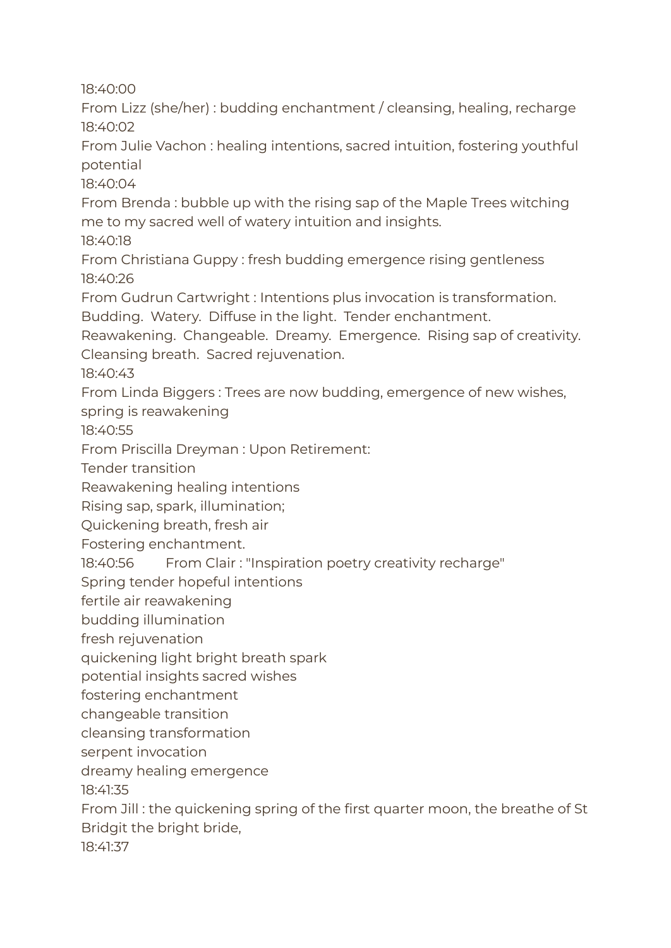18:40:00

From Lizz (she/her) : budding enchantment / cleansing, healing, recharge 18:40:02

From Julie Vachon : healing intentions, sacred intuition, fostering youthful potential

18:40:04

From Brenda : bubble up with the rising sap of the Maple Trees witching me to my sacred well of watery intuition and insights.

18:40:18

From Christiana Guppy : fresh budding emergence rising gentleness 18:40:26

From Gudrun Cartwright : Intentions plus invocation is transformation.

Budding. Watery. Diffuse in the light. Tender enchantment.

Reawakening. Changeable. Dreamy. Emergence. Rising sap of creativity. Cleansing breath. Sacred rejuvenation.

18:40:43

From Linda Biggers : Trees are now budding, emergence of new wishes, spring is reawakening

18:40:55

From Priscilla Dreyman : Upon Retirement:

Tender transition

Reawakening healing intentions

Rising sap, spark, illumination;

Quickening breath, fresh air

Fostering enchantment.

18:40:56 From Clair : "Inspiration poetry creativity recharge"

Spring tender hopeful intentions

fertile air reawakening

budding illumination

fresh rejuvenation

quickening light bright breath spark

potential insights sacred wishes

fostering enchantment

changeable transition

cleansing transformation

serpent invocation

dreamy healing emergence

18:41:35

From Jill : the quickening spring of the first quarter moon, the breathe of St Bridgit the bright bride,

18:41:37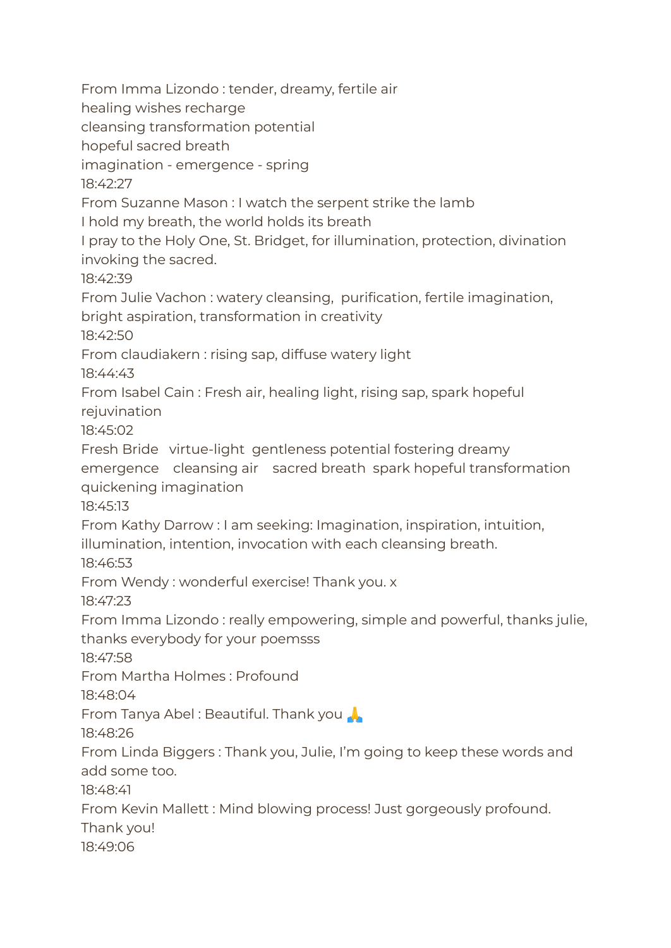From Imma Lizondo : tender, dreamy, fertile air healing wishes recharge cleansing transformation potential hopeful sacred breath imagination - emergence - spring 18:42:27 From Suzanne Mason : I watch the serpent strike the lamb I hold my breath, the world holds its breath I pray to the Holy One, St. Bridget, for illumination, protection, divination invoking the sacred. 18:42:39 From Julie Vachon : watery cleansing, purification, fertile imagination, bright aspiration, transformation in creativity 18:42:50 From claudiakern : rising sap, diffuse watery light 18:44:43 From Isabel Cain : Fresh air, healing light, rising sap, spark hopeful rejuvination 18:45:02 Fresh Bride virtue-light gentleness potential fostering dreamy emergence cleansing air sacred breath spark hopeful transformation quickening imagination 18:45:13 From Kathy Darrow : I am seeking: Imagination, inspiration, intuition, illumination, intention, invocation with each cleansing breath. 18:46:53 From Wendy : wonderful exercise! Thank you. x 18:47:23 From Imma Lizondo : really empowering, simple and powerful, thanks julie, thanks everybody for your poemsss 18:47:58 From Martha Holmes : Profound 18:48:04 From Tanya Abel : Beautiful. Thank you 18:48:26 From Linda Biggers : Thank you, Julie, I'm going to keep these words and add some too. 18:48:41 From Kevin Mallett : Mind blowing process! Just gorgeously profound. Thank you! 18:49:06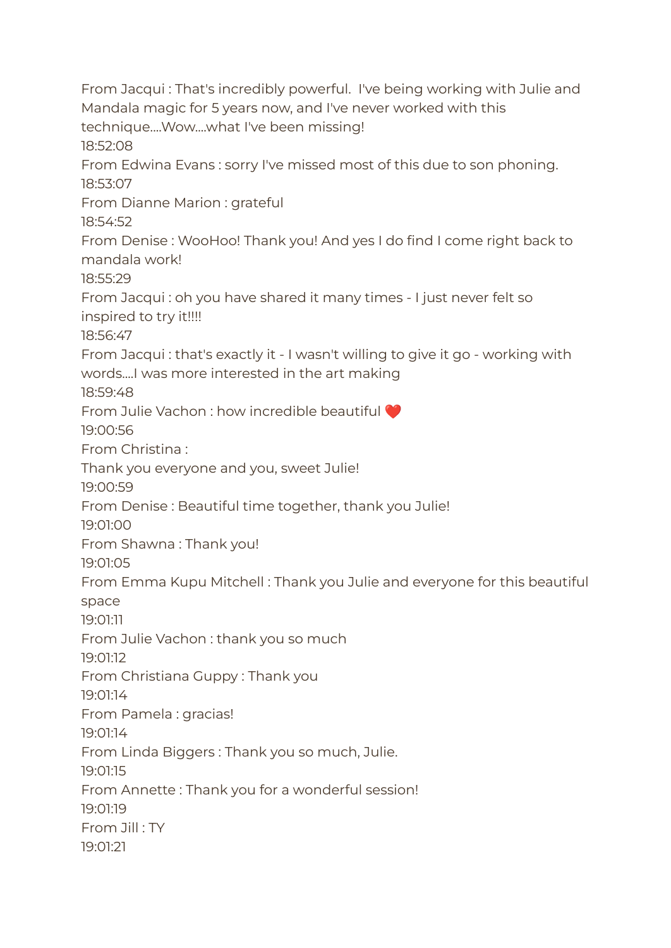From Jacqui : That's incredibly powerful. I've being working with Julie and Mandala magic for 5 years now, and I've never worked with this technique....Wow....what I've been missing! 18:52:08 From Edwina Evans : sorry I've missed most of this due to son phoning. 18:53:07 From Dianne Marion : grateful 18:54:52 From Denise : WooHoo! Thank you! And yes I do find I come right back to mandala work! 18:55:29 From Jacqui : oh you have shared it many times - I just never felt so inspired to try it!!!! 18:56:47 From Jacqui : that's exactly it - I wasn't willing to give it go - working with words....I was more interested in the art making 18:59:48 From Julie Vachon : how incredible beautiful ❤️ 19:00:56 From Christina : Thank you everyone and you, sweet Julie! 19:00:59 From Denise : Beautiful time together, thank you Julie! 19:01:00 From Shawna : Thank you! 19:01:05 From Emma Kupu Mitchell : Thank you Julie and everyone for this beautiful space 19:01:11 From Julie Vachon : thank you so much 19:01:12 From Christiana Guppy : Thank you 19:01:14 From Pamela : gracias! 19:01:14 From Linda Biggers : Thank you so much, Julie. 19:01:15 From Annette : Thank you for a wonderful session! 19:01:19 From Jill : TY 19:01:21